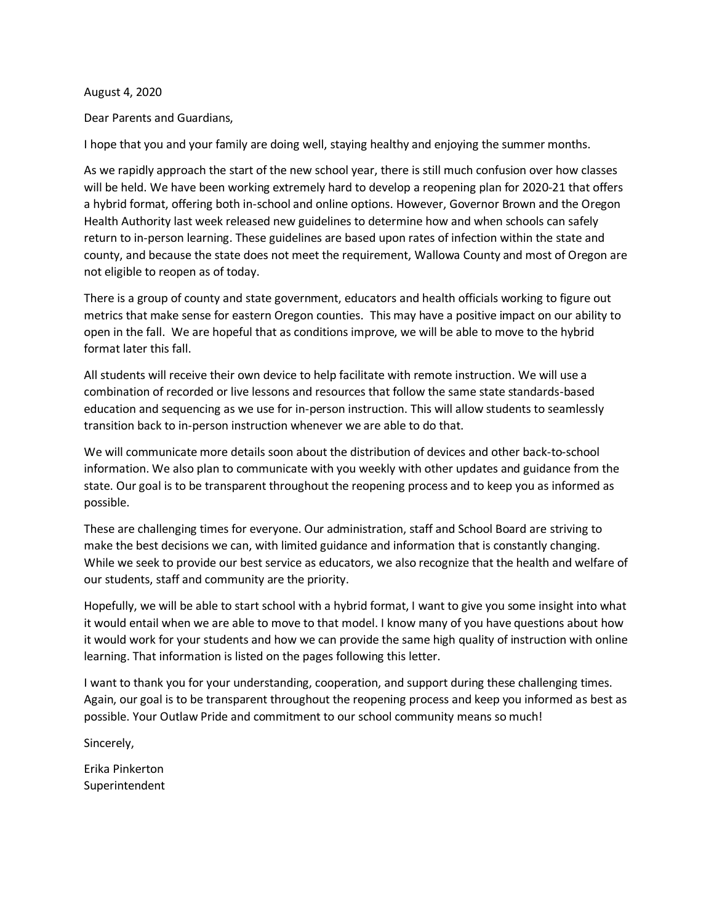## August 4, 2020

Dear Parents and Guardians,

I hope that you and your family are doing well, staying healthy and enjoying the summer months.

As we rapidly approach the start of the new school year, there is still much confusion over how classes will be held. We have been working extremely hard to develop a reopening plan for 2020-21 that offers a hybrid format, offering both in-school and online options. However, Governor Brown and the Oregon Health Authority last week released new guidelines to determine how and when schools can safely return to in-person learning. These guidelines are based upon rates of infection within the state and county, and because the state does not meet the requirement, Wallowa County and most of Oregon are not eligible to reopen as of today.

There is a group of county and state government, educators and health officials working to figure out metrics that make sense for eastern Oregon counties. This may have a positive impact on our ability to open in the fall. We are hopeful that as conditions improve, we will be able to move to the hybrid format later this fall.

All students will receive their own device to help facilitate with remote instruction. We will use a combination of recorded or live lessons and resources that follow the same state standards-based education and sequencing as we use for in-person instruction. This will allow students to seamlessly transition back to in-person instruction whenever we are able to do that.

We will communicate more details soon about the distribution of devices and other back-to-school information. We also plan to communicate with you weekly with other updates and guidance from the state. Our goal is to be transparent throughout the reopening process and to keep you as informed as possible.

These are challenging times for everyone. Our administration, staff and School Board are striving to make the best decisions we can, with limited guidance and information that is constantly changing. While we seek to provide our best service as educators, we also recognize that the health and welfare of our students, staff and community are the priority.

Hopefully, we will be able to start school with a hybrid format, I want to give you some insight into what it would entail when we are able to move to that model. I know many of you have questions about how it would work for your students and how we can provide the same high quality of instruction with online learning. That information is listed on the pages following this letter.

I want to thank you for your understanding, cooperation, and support during these challenging times. Again, our goal is to be transparent throughout the reopening process and keep you informed as best as possible. Your Outlaw Pride and commitment to our school community means so much!

Sincerely,

Erika Pinkerton Superintendent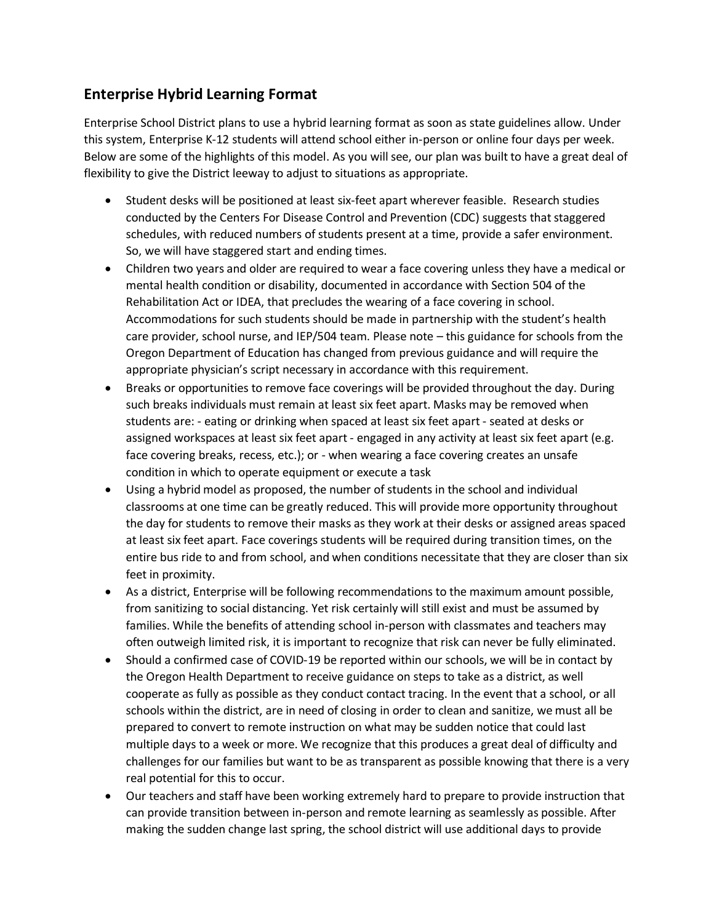## **Enterprise Hybrid Learning Format**

Enterprise School District plans to use a hybrid learning format as soon as state guidelines allow. Under this system, Enterprise K-12 students will attend school either in-person or online four days per week. Below are some of the highlights of this model. As you will see, our plan was built to have a great deal of flexibility to give the District leeway to adjust to situations as appropriate.

- Student desks will be positioned at least six-feet apart wherever feasible. Research studies conducted by the Centers For Disease Control and Prevention (CDC) suggests that staggered schedules, with reduced numbers of students present at a time, provide a safer environment. So, we will have staggered start and ending times.
- Children two years and older are required to wear a face covering unless they have a medical or mental health condition or disability, documented in accordance with Section 504 of the Rehabilitation Act or IDEA, that precludes the wearing of a face covering in school. Accommodations for such students should be made in partnership with the student's health care provider, school nurse, and IEP/504 team. Please note – this guidance for schools from the Oregon Department of Education has changed from previous guidance and will require the appropriate physician's script necessary in accordance with this requirement.
- Breaks or opportunities to remove face coverings will be provided throughout the day. During such breaks individuals must remain at least six feet apart. Masks may be removed when students are: - eating or drinking when spaced at least six feet apart - seated at desks or assigned workspaces at least six feet apart - engaged in any activity at least six feet apart (e.g. face covering breaks, recess, etc.); or - when wearing a face covering creates an unsafe condition in which to operate equipment or execute a task
- Using a hybrid model as proposed, the number of students in the school and individual classrooms at one time can be greatly reduced. This will provide more opportunity throughout the day for students to remove their masks as they work at their desks or assigned areas spaced at least six feet apart. Face coverings students will be required during transition times, on the entire bus ride to and from school, and when conditions necessitate that they are closer than six feet in proximity.
- As a district, Enterprise will be following recommendations to the maximum amount possible, from sanitizing to social distancing. Yet risk certainly will still exist and must be assumed by families. While the benefits of attending school in-person with classmates and teachers may often outweigh limited risk, it is important to recognize that risk can never be fully eliminated.
- Should a confirmed case of COVID-19 be reported within our schools, we will be in contact by the Oregon Health Department to receive guidance on steps to take as a district, as well cooperate as fully as possible as they conduct contact tracing. In the event that a school, or all schools within the district, are in need of closing in order to clean and sanitize, we must all be prepared to convert to remote instruction on what may be sudden notice that could last multiple days to a week or more. We recognize that this produces a great deal of difficulty and challenges for our families but want to be as transparent as possible knowing that there is a very real potential for this to occur.
- Our teachers and staff have been working extremely hard to prepare to provide instruction that can provide transition between in-person and remote learning as seamlessly as possible. After making the sudden change last spring, the school district will use additional days to provide